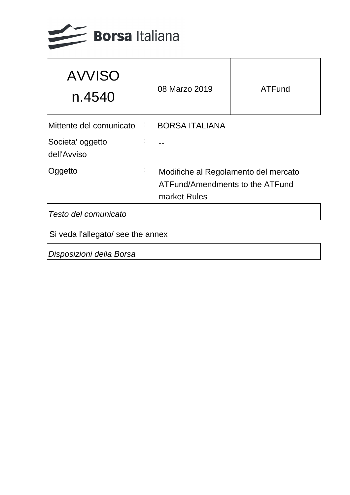

| <b>AVVISO</b><br>n.4540                |   | 08 Marzo 2019                                                                           | ATFund |
|----------------------------------------|---|-----------------------------------------------------------------------------------------|--------|
| Mittente del comunicato BORSA ITALIANA |   |                                                                                         |        |
| Societa' oggetto<br>dell'Avviso        |   |                                                                                         |        |
| Oggetto                                | ٠ | Modifiche al Regolamento del mercato<br>ATFund/Amendments to the ATFund<br>market Rules |        |
| Testo del comunicato                   |   |                                                                                         |        |
|                                        |   |                                                                                         |        |

Si veda l'allegato/ see the annex

Disposizioni della Borsa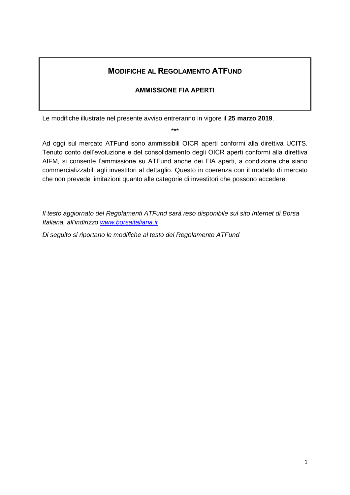# **MODIFICHE AL REGOLAMENTO ATFUND**

### **AMMISSIONE FIA APERTI**

Le modifiche illustrate nel presente avviso entreranno in vigore il **25 marzo 2019**.

\*\*\*

Ad oggi sul mercato ATFund sono ammissibili OICR aperti conformi alla direttiva UCITS. Tenuto conto dell'evoluzione e del consolidamento degli OICR aperti conformi alla direttiva AIFM, si consente l'ammissione su ATFund anche dei FIA aperti, a condizione che siano commercializzabili agli investitori al dettaglio. Questo in coerenza con il modello di mercato che non prevede limitazioni quanto alle categorie di investitori che possono accedere.

*Il testo aggiornato del Regolamenti ATFund sarà reso disponibile sul sito Internet di Borsa Italiana, all'indirizzo [www.borsaitaliana.it](http://www.borsaitaliana.it/)*

*Di seguito si riportano le modifiche al testo del Regolamento ATFund*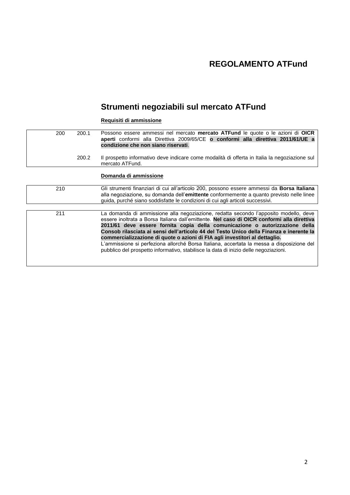# **REGOLAMENTO ATFund**

# **Strumenti negoziabili sul mercato ATFund**

#### **Requisiti di ammissione**

200 200.1 Possono essere ammessi nel mercato **mercato ATFund** le quote o le azioni di **OICR aperti** conformi alla Direttiva 2009/65/CE **o conformi alla direttiva 2011/61/UE a condizione che non siano riservati**. 200.2 Il prospetto informativo deve indicare come modalità di offerta in Italia la negoziazione sul mercato ATFund. **Domanda di ammissione** 210 Gli strumenti finanziari di cui all'articolo 200, possono essere ammessi da **Borsa Italiana** alla negoziazione, su domanda dell'**emittente** conformemente a quanto previsto nelle linee guida, purché siano soddisfatte le condizioni di cui agli articoli successivi. 211 La domanda di ammissione alla negoziazione, redatta secondo l'apposito modello, deve essere inoltrata a Borsa Italiana dall'emittente. **Nel caso di OICR conformi alla direttiva 2011/61 deve essere fornita copia della comunicazione o autorizzazione della Consob rilasciata ai sensi dell'articolo 44 del Testo Unico della Finanza e inerente la commercializzazione di quote o azioni di FIA agli investitori al dettaglio.** L'ammissione si perfeziona allorché Borsa Italiana, accertata la messa a disposizione del pubblico del prospetto informativo, stabilisce la data di inizio delle negoziazioni.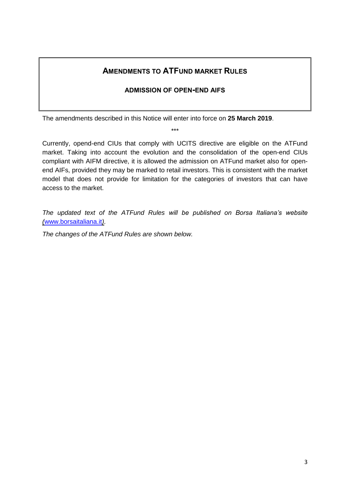## **AMENDMENTS TO ATFUND MARKET RULES**

## **ADMISSION OF OPEN-END AIFS**

The amendments described in this Notice will enter into force on **25 March 2019**.

\*\*\*

Currently, opend-end CIUs that comply with UCITS directive are eligible on the ATFund market. Taking into account the evolution and the consolidation of the open-end CIUs compliant with AIFM directive, it is allowed the admission on ATFund market also for openend AIFs, provided they may be marked to retail investors. This is consistent with the market model that does not provide for limitation for the categories of investors that can have access to the market.

*The updated text of the ATFund Rules will be published on Borsa Italiana's website (*[www.borsaitaliana.it](http://www.borsaitaliana.it/)*).*

*The changes of the ATFund Rules are shown below.*